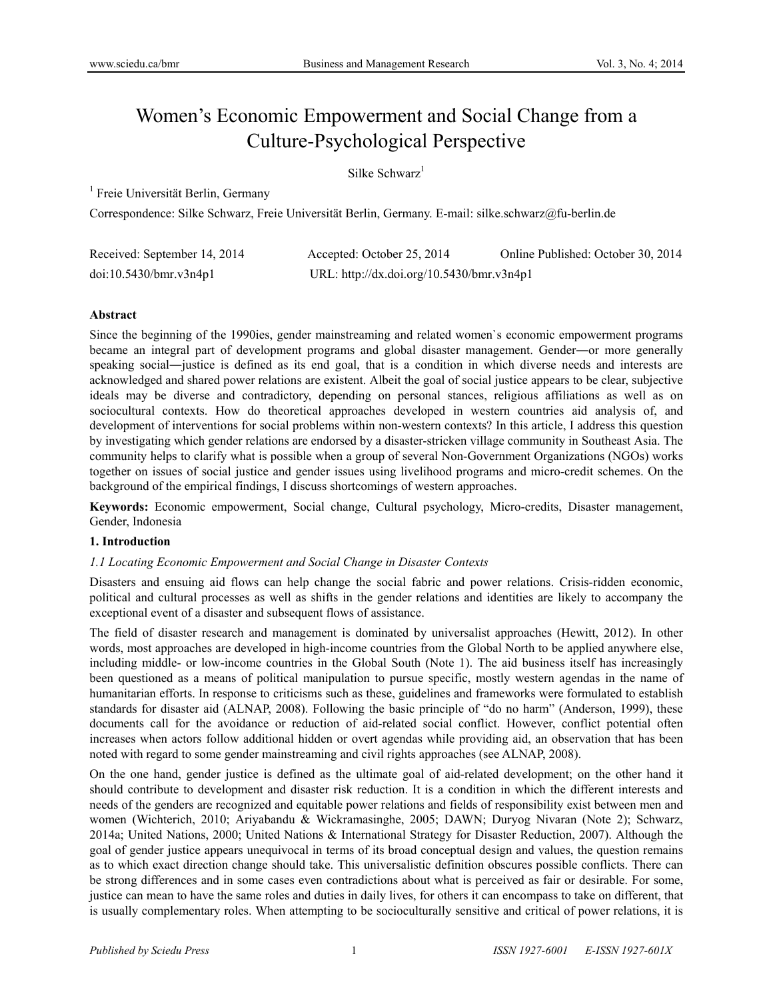# Women's Economic Empowerment and Social Change from a Culture-Psychological Perspective

# Silke Schwarz<sup>1</sup>

<sup>1</sup> Freie Universität Berlin, Germany

Correspondence: Silke Schwarz, Freie Universität Berlin, Germany. E-mail: silke.schwarz@fu-berlin.de

| Received: September 14, 2014 | Accepted: October 25, 2014                | Online Published: October 30, 2014 |
|------------------------------|-------------------------------------------|------------------------------------|
| doi:10.5430/bmr.v3n4p1       | URL: http://dx.doi.org/10.5430/bmr.v3n4p1 |                                    |

## **Abstract**

Since the beginning of the 1990ies, gender mainstreaming and related women`s economic empowerment programs became an integral part of development programs and global disaster management. Gender―or more generally speaking social—justice is defined as its end goal, that is a condition in which diverse needs and interests are acknowledged and shared power relations are existent. Albeit the goal of social justice appears to be clear, subjective ideals may be diverse and contradictory, depending on personal stances, religious affiliations as well as on sociocultural contexts. How do theoretical approaches developed in western countries aid analysis of, and development of interventions for social problems within non-western contexts? In this article, I address this question by investigating which gender relations are endorsed by a disaster-stricken village community in Southeast Asia. The community helps to clarify what is possible when a group of several Non-Government Organizations (NGOs) works together on issues of social justice and gender issues using livelihood programs and micro-credit schemes. On the background of the empirical findings, I discuss shortcomings of western approaches.

**Keywords:** Economic empowerment, Social change, Cultural psychology, Micro-credits, Disaster management, Gender, Indonesia

## **1. Introduction**

## *1.1 Locating Economic Empowerment and Social Change in Disaster Contexts*

Disasters and ensuing aid flows can help change the social fabric and power relations. Crisis-ridden economic, political and cultural processes as well as shifts in the gender relations and identities are likely to accompany the exceptional event of a disaster and subsequent flows of assistance.

The field of disaster research and management is dominated by universalist approaches (Hewitt, 2012). In other words, most approaches are developed in high-income countries from the Global North to be applied anywhere else, including middle- or low-income countries in the Global South (Note 1). The aid business itself has increasingly been questioned as a means of political manipulation to pursue specific, mostly western agendas in the name of humanitarian efforts. In response to criticisms such as these, guidelines and frameworks were formulated to establish standards for disaster aid (ALNAP, 2008). Following the basic principle of "do no harm" (Anderson, 1999), these documents call for the avoidance or reduction of aid-related social conflict. However, conflict potential often increases when actors follow additional hidden or overt agendas while providing aid, an observation that has been noted with regard to some gender mainstreaming and civil rights approaches (see ALNAP, 2008).

On the one hand, gender justice is defined as the ultimate goal of aid-related development; on the other hand it should contribute to development and disaster risk reduction. It is a condition in which the different interests and needs of the genders are recognized and equitable power relations and fields of responsibility exist between men and women (Wichterich, 2010; Ariyabandu & Wickramasinghe, 2005; DAWN; Duryog Nivaran (Note 2); Schwarz, 2014a; United Nations, 2000; United Nations & International Strategy for Disaster Reduction, 2007). Although the goal of gender justice appears unequivocal in terms of its broad conceptual design and values, the question remains as to which exact direction change should take. This universalistic definition obscures possible conflicts. There can be strong differences and in some cases even contradictions about what is perceived as fair or desirable. For some, justice can mean to have the same roles and duties in daily lives, for others it can encompass to take on different, that is usually complementary roles. When attempting to be socioculturally sensitive and critical of power relations, it is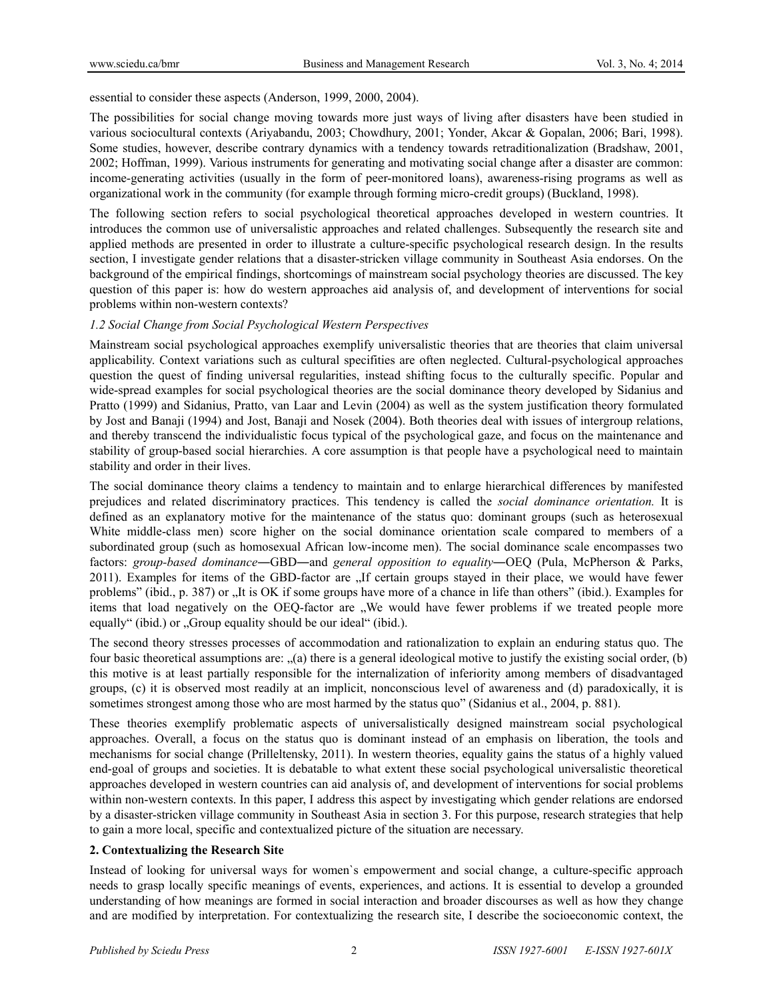essential to consider these aspects (Anderson, 1999, 2000, 2004).

The possibilities for social change moving towards more just ways of living after disasters have been studied in various sociocultural contexts (Ariyabandu, 2003; Chowdhury, 2001; Yonder, Akcar & Gopalan, 2006; Bari, 1998). Some studies, however, describe contrary dynamics with a tendency towards retraditionalization (Bradshaw, 2001, 2002; Hoffman, 1999). Various instruments for generating and motivating social change after a disaster are common: income-generating activities (usually in the form of peer-monitored loans), awareness-rising programs as well as organizational work in the community (for example through forming micro-credit groups) (Buckland, 1998).

The following section refers to social psychological theoretical approaches developed in western countries. It introduces the common use of universalistic approaches and related challenges. Subsequently the research site and applied methods are presented in order to illustrate a culture-specific psychological research design. In the results section, I investigate gender relations that a disaster-stricken village community in Southeast Asia endorses. On the background of the empirical findings, shortcomings of mainstream social psychology theories are discussed. The key question of this paper is: how do western approaches aid analysis of, and development of interventions for social problems within non-western contexts?

## *1.2 Social Change from Social Psychological Western Perspectives*

Mainstream social psychological approaches exemplify universalistic theories that are theories that claim universal applicability. Context variations such as cultural specifities are often neglected. Cultural-psychological approaches question the quest of finding universal regularities, instead shifting focus to the culturally specific. Popular and wide-spread examples for social psychological theories are the social dominance theory developed by Sidanius and Pratto (1999) and Sidanius, Pratto, van Laar and Levin (2004) as well as the system justification theory formulated by Jost and Banaji (1994) and Jost, Banaji and Nosek (2004). Both theories deal with issues of intergroup relations, and thereby transcend the individualistic focus typical of the psychological gaze, and focus on the maintenance and stability of group-based social hierarchies. A core assumption is that people have a psychological need to maintain stability and order in their lives.

The social dominance theory claims a tendency to maintain and to enlarge hierarchical differences by manifested prejudices and related discriminatory practices. This tendency is called the *social dominance orientation.* It is defined as an explanatory motive for the maintenance of the status quo: dominant groups (such as heterosexual White middle-class men) score higher on the social dominance orientation scale compared to members of a subordinated group (such as homosexual African low-income men). The social dominance scale encompasses two factors: *group-based dominance*—GBD—and *general opposition to equality*—OEQ (Pula, McPherson & Parks, 2011). Examples for items of the GBD-factor are "If certain groups stayed in their place, we would have fewer problems" (ibid., p. 387) or "It is OK if some groups have more of a chance in life than others" (ibid.). Examples for items that load negatively on the OEQ-factor are "We would have fewer problems if we treated people more equally" (ibid.) or "Group equality should be our ideal" (ibid.).

The second theory stresses processes of accommodation and rationalization to explain an enduring status quo. The four basic theoretical assumptions are:  $(0, a)$  there is a general ideological motive to justify the existing social order, (b) this motive is at least partially responsible for the internalization of inferiority among members of disadvantaged groups, (c) it is observed most readily at an implicit, nonconscious level of awareness and (d) paradoxically, it is sometimes strongest among those who are most harmed by the status quo" (Sidanius et al., 2004, p. 881).

These theories exemplify problematic aspects of universalistically designed mainstream social psychological approaches. Overall, a focus on the status quo is dominant instead of an emphasis on liberation, the tools and mechanisms for social change (Prilleltensky, 2011). In western theories, equality gains the status of a highly valued end-goal of groups and societies. It is debatable to what extent these social psychological universalistic theoretical approaches developed in western countries can aid analysis of, and development of interventions for social problems within non-western contexts. In this paper, I address this aspect by investigating which gender relations are endorsed by a disaster-stricken village community in Southeast Asia in section 3. For this purpose, research strategies that help to gain a more local, specific and contextualized picture of the situation are necessary.

## **2. Contextualizing the Research Site**

Instead of looking for universal ways for women`s empowerment and social change, a culture-specific approach needs to grasp locally specific meanings of events, experiences, and actions. It is essential to develop a grounded understanding of how meanings are formed in social interaction and broader discourses as well as how they change and are modified by interpretation. For contextualizing the research site, I describe the socioeconomic context, the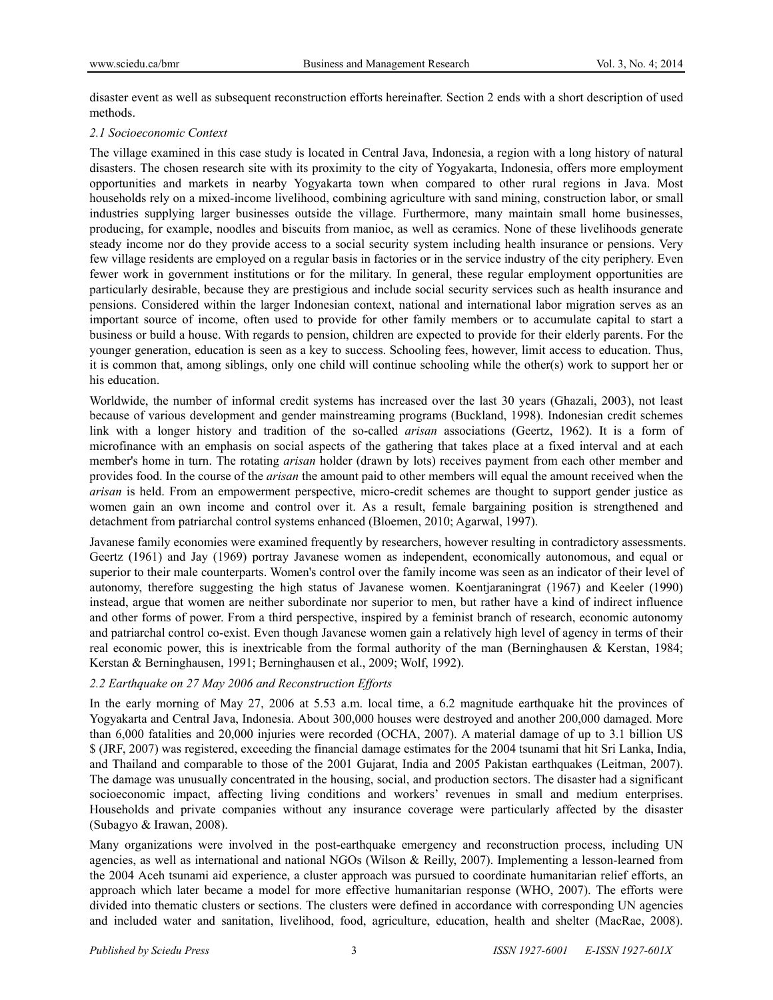disaster event as well as subsequent reconstruction efforts hereinafter. Section 2 ends with a short description of used methods.

## *2.1 Socioeconomic Context*

The village examined in this case study is located in Central Java, Indonesia, a region with a long history of natural disasters. The chosen research site with its proximity to the city of Yogyakarta, Indonesia, offers more employment opportunities and markets in nearby Yogyakarta town when compared to other rural regions in Java. Most households rely on a mixed-income livelihood, combining agriculture with sand mining, construction labor, or small industries supplying larger businesses outside the village. Furthermore, many maintain small home businesses, producing, for example, noodles and biscuits from manioc, as well as ceramics. None of these livelihoods generate steady income nor do they provide access to a social security system including health insurance or pensions. Very few village residents are employed on a regular basis in factories or in the service industry of the city periphery. Even fewer work in government institutions or for the military. In general, these regular employment opportunities are particularly desirable, because they are prestigious and include social security services such as health insurance and pensions. Considered within the larger Indonesian context, national and international labor migration serves as an important source of income, often used to provide for other family members or to accumulate capital to start a business or build a house. With regards to pension, children are expected to provide for their elderly parents. For the younger generation, education is seen as a key to success. Schooling fees, however, limit access to education. Thus, it is common that, among siblings, only one child will continue schooling while the other(s) work to support her or his education.

Worldwide, the number of informal credit systems has increased over the last 30 years (Ghazali, 2003), not least because of various development and gender mainstreaming programs (Buckland, 1998). Indonesian credit schemes link with a longer history and tradition of the so-called *arisan* associations (Geertz, 1962). It is a form of microfinance with an emphasis on social aspects of the gathering that takes place at a fixed interval and at each member's home in turn. The rotating *arisan* holder (drawn by lots) receives payment from each other member and provides food. In the course of the *arisan* the amount paid to other members will equal the amount received when the *arisan* is held. From an empowerment perspective, micro-credit schemes are thought to support gender justice as women gain an own income and control over it. As a result, female bargaining position is strengthened and detachment from patriarchal control systems enhanced (Bloemen, 2010; Agarwal, 1997).

Javanese family economies were examined frequently by researchers, however resulting in contradictory assessments. Geertz (1961) and Jay (1969) portray Javanese women as independent, economically autonomous, and equal or superior to their male counterparts. Women's control over the family income was seen as an indicator of their level of autonomy, therefore suggesting the high status of Javanese women. Koentjaraningrat (1967) and Keeler (1990) instead, argue that women are neither subordinate nor superior to men, but rather have a kind of indirect influence and other forms of power. From a third perspective, inspired by a feminist branch of research, economic autonomy and patriarchal control co-exist. Even though Javanese women gain a relatively high level of agency in terms of their real economic power, this is inextricable from the formal authority of the man (Berninghausen & Kerstan, 1984; Kerstan & Berninghausen, 1991; Berninghausen et al., 2009; Wolf, 1992).

## *2.2 Earthquake on 27 May 2006 and Reconstruction Efforts*

In the early morning of May 27, 2006 at 5.53 a.m. local time, a 6.2 magnitude earthquake hit the provinces of Yogyakarta and Central Java, Indonesia. About 300,000 houses were destroyed and another 200,000 damaged. More than 6,000 fatalities and 20,000 injuries were recorded (OCHA, 2007). A material damage of up to 3.1 billion US \$ (JRF, 2007) was registered, exceeding the financial damage estimates for the 2004 tsunami that hit Sri Lanka, India, and Thailand and comparable to those of the 2001 Gujarat, India and 2005 Pakistan earthquakes (Leitman, 2007). The damage was unusually concentrated in the housing, social, and production sectors. The disaster had a significant socioeconomic impact, affecting living conditions and workers' revenues in small and medium enterprises. Households and private companies without any insurance coverage were particularly affected by the disaster (Subagyo & Irawan, 2008).

Many organizations were involved in the post-earthquake emergency and reconstruction process, including UN agencies, as well as international and national NGOs (Wilson & Reilly, 2007). Implementing a lesson-learned from the 2004 Aceh tsunami aid experience, a cluster approach was pursued to coordinate humanitarian relief efforts, an approach which later became a model for more effective humanitarian response (WHO, 2007). The efforts were divided into thematic clusters or sections. The clusters were defined in accordance with corresponding UN agencies and included water and sanitation, livelihood, food, agriculture, education, health and shelter (MacRae, 2008).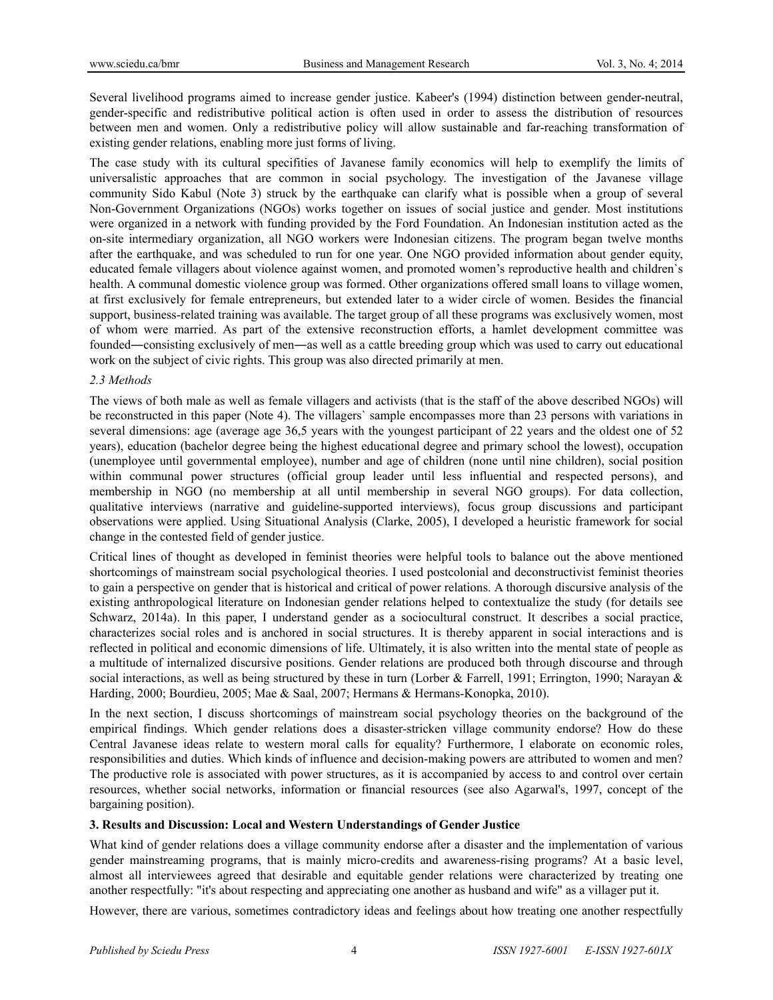Several livelihood programs aimed to increase gender justice. Kabeer's (1994) distinction between gender-neutral, gender-specific and redistributive political action is often used in order to assess the distribution of resources between men and women. Only a redistributive policy will allow sustainable and far-reaching transformation of existing gender relations, enabling more just forms of living.

The case study with its cultural specifities of Javanese family economics will help to exemplify the limits of universalistic approaches that are common in social psychology. The investigation of the Javanese village community Sido Kabul (Note 3) struck by the earthquake can clarify what is possible when a group of several Non-Government Organizations (NGOs) works together on issues of social justice and gender. Most institutions were organized in a network with funding provided by the Ford Foundation. An Indonesian institution acted as the on-site intermediary organization, all NGO workers were Indonesian citizens. The program began twelve months after the earthquake, and was scheduled to run for one year. One NGO provided information about gender equity, educated female villagers about violence against women, and promoted women's reproductive health and children`s health. A communal domestic violence group was formed. Other organizations offered small loans to village women, at first exclusively for female entrepreneurs, but extended later to a wider circle of women. Besides the financial support, business-related training was available. The target group of all these programs was exclusively women, most of whom were married. As part of the extensive reconstruction efforts, a hamlet development committee was founded―consisting exclusively of men―as well as a cattle breeding group which was used to carry out educational work on the subject of civic rights. This group was also directed primarily at men.

#### *2.3 Methods*

The views of both male as well as female villagers and activists (that is the staff of the above described NGOs) will be reconstructed in this paper (Note 4). The villagers` sample encompasses more than 23 persons with variations in several dimensions: age (average age 36,5 years with the youngest participant of 22 years and the oldest one of 52 years), education (bachelor degree being the highest educational degree and primary school the lowest), occupation (unemployee until governmental employee), number and age of children (none until nine children), social position within communal power structures (official group leader until less influential and respected persons), and membership in NGO (no membership at all until membership in several NGO groups). For data collection, qualitative interviews (narrative and guideline-supported interviews), focus group discussions and participant observations were applied. Using Situational Analysis (Clarke, 2005), I developed a heuristic framework for social change in the contested field of gender justice.

Critical lines of thought as developed in feminist theories were helpful tools to balance out the above mentioned shortcomings of mainstream social psychological theories. I used postcolonial and deconstructivist feminist theories to gain a perspective on gender that is historical and critical of power relations. A thorough discursive analysis of the existing anthropological literature on Indonesian gender relations helped to contextualize the study (for details see Schwarz, 2014a). In this paper, I understand gender as a sociocultural construct. It describes a social practice, characterizes social roles and is anchored in social structures. It is thereby apparent in social interactions and is reflected in political and economic dimensions of life. Ultimately, it is also written into the mental state of people as a multitude of internalized discursive positions. Gender relations are produced both through discourse and through social interactions, as well as being structured by these in turn (Lorber & Farrell, 1991; Errington, 1990; Narayan & Harding, 2000; Bourdieu, 2005; Mae & Saal, 2007; Hermans & Hermans-Konopka, 2010).

In the next section, I discuss shortcomings of mainstream social psychology theories on the background of the empirical findings. Which gender relations does a disaster-stricken village community endorse? How do these Central Javanese ideas relate to western moral calls for equality? Furthermore, I elaborate on economic roles, responsibilities and duties. Which kinds of influence and decision-making powers are attributed to women and men? The productive role is associated with power structures, as it is accompanied by access to and control over certain resources, whether social networks, information or financial resources (see also Agarwal's, 1997, concept of the bargaining position).

#### **3. Results and Discussion: Local and Western Understandings of Gender Justice**

What kind of gender relations does a village community endorse after a disaster and the implementation of various gender mainstreaming programs, that is mainly micro-credits and awareness-rising programs? At a basic level, almost all interviewees agreed that desirable and equitable gender relations were characterized by treating one another respectfully: "it's about respecting and appreciating one another as husband and wife" as a villager put it.

However, there are various, sometimes contradictory ideas and feelings about how treating one another respectfully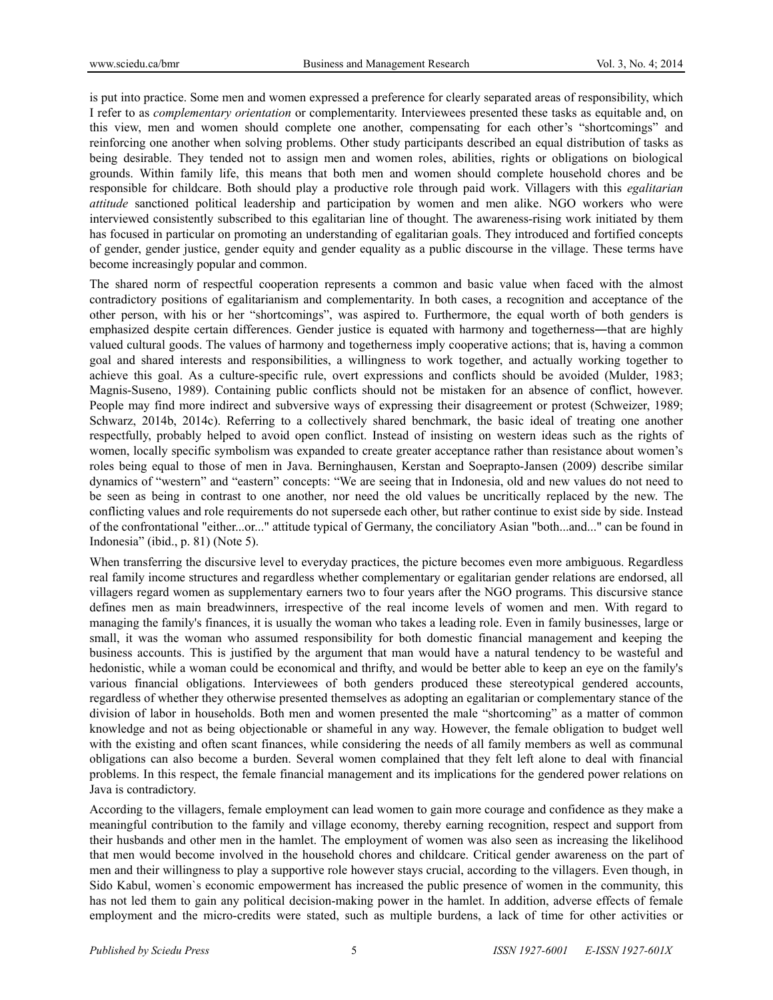is put into practice. Some men and women expressed a preference for clearly separated areas of responsibility, which I refer to as *complementary orientation* or complementarity. Interviewees presented these tasks as equitable and, on this view, men and women should complete one another, compensating for each other's "shortcomings" and reinforcing one another when solving problems. Other study participants described an equal distribution of tasks as being desirable. They tended not to assign men and women roles, abilities, rights or obligations on biological grounds. Within family life, this means that both men and women should complete household chores and be responsible for childcare. Both should play a productive role through paid work. Villagers with this *egalitarian attitude* sanctioned political leadership and participation by women and men alike. NGO workers who were interviewed consistently subscribed to this egalitarian line of thought. The awareness-rising work initiated by them has focused in particular on promoting an understanding of egalitarian goals. They introduced and fortified concepts of gender, gender justice, gender equity and gender equality as a public discourse in the village. These terms have become increasingly popular and common.

The shared norm of respectful cooperation represents a common and basic value when faced with the almost contradictory positions of egalitarianism and complementarity. In both cases, a recognition and acceptance of the other person, with his or her "shortcomings", was aspired to. Furthermore, the equal worth of both genders is emphasized despite certain differences. Gender justice is equated with harmony and togetherness—that are highly valued cultural goods. The values of harmony and togetherness imply cooperative actions; that is, having a common goal and shared interests and responsibilities, a willingness to work together, and actually working together to achieve this goal. As a culture-specific rule, overt expressions and conflicts should be avoided (Mulder, 1983; Magnis-Suseno, 1989). Containing public conflicts should not be mistaken for an absence of conflict, however. People may find more indirect and subversive ways of expressing their disagreement or protest (Schweizer, 1989; Schwarz, 2014b, 2014c). Referring to a collectively shared benchmark, the basic ideal of treating one another respectfully, probably helped to avoid open conflict. Instead of insisting on western ideas such as the rights of women, locally specific symbolism was expanded to create greater acceptance rather than resistance about women's roles being equal to those of men in Java. Berninghausen, Kerstan and Soeprapto-Jansen (2009) describe similar dynamics of "western" and "eastern" concepts: "We are seeing that in Indonesia, old and new values do not need to be seen as being in contrast to one another, nor need the old values be uncritically replaced by the new. The conflicting values and role requirements do not supersede each other, but rather continue to exist side by side. Instead of the confrontational "either...or..." attitude typical of Germany, the conciliatory Asian "both...and..." can be found in Indonesia" (ibid., p. 81) (Note 5).

When transferring the discursive level to everyday practices, the picture becomes even more ambiguous. Regardless real family income structures and regardless whether complementary or egalitarian gender relations are endorsed, all villagers regard women as supplementary earners two to four years after the NGO programs. This discursive stance defines men as main breadwinners, irrespective of the real income levels of women and men. With regard to managing the family's finances, it is usually the woman who takes a leading role. Even in family businesses, large or small, it was the woman who assumed responsibility for both domestic financial management and keeping the business accounts. This is justified by the argument that man would have a natural tendency to be wasteful and hedonistic, while a woman could be economical and thrifty, and would be better able to keep an eye on the family's various financial obligations. Interviewees of both genders produced these stereotypical gendered accounts, regardless of whether they otherwise presented themselves as adopting an egalitarian or complementary stance of the division of labor in households. Both men and women presented the male "shortcoming" as a matter of common knowledge and not as being objectionable or shameful in any way. However, the female obligation to budget well with the existing and often scant finances, while considering the needs of all family members as well as communal obligations can also become a burden. Several women complained that they felt left alone to deal with financial problems. In this respect, the female financial management and its implications for the gendered power relations on Java is contradictory.

According to the villagers, female employment can lead women to gain more courage and confidence as they make a meaningful contribution to the family and village economy, thereby earning recognition, respect and support from their husbands and other men in the hamlet. The employment of women was also seen as increasing the likelihood that men would become involved in the household chores and childcare. Critical gender awareness on the part of men and their willingness to play a supportive role however stays crucial, according to the villagers. Even though, in Sido Kabul, women`s economic empowerment has increased the public presence of women in the community, this has not led them to gain any political decision-making power in the hamlet. In addition, adverse effects of female employment and the micro-credits were stated, such as multiple burdens, a lack of time for other activities or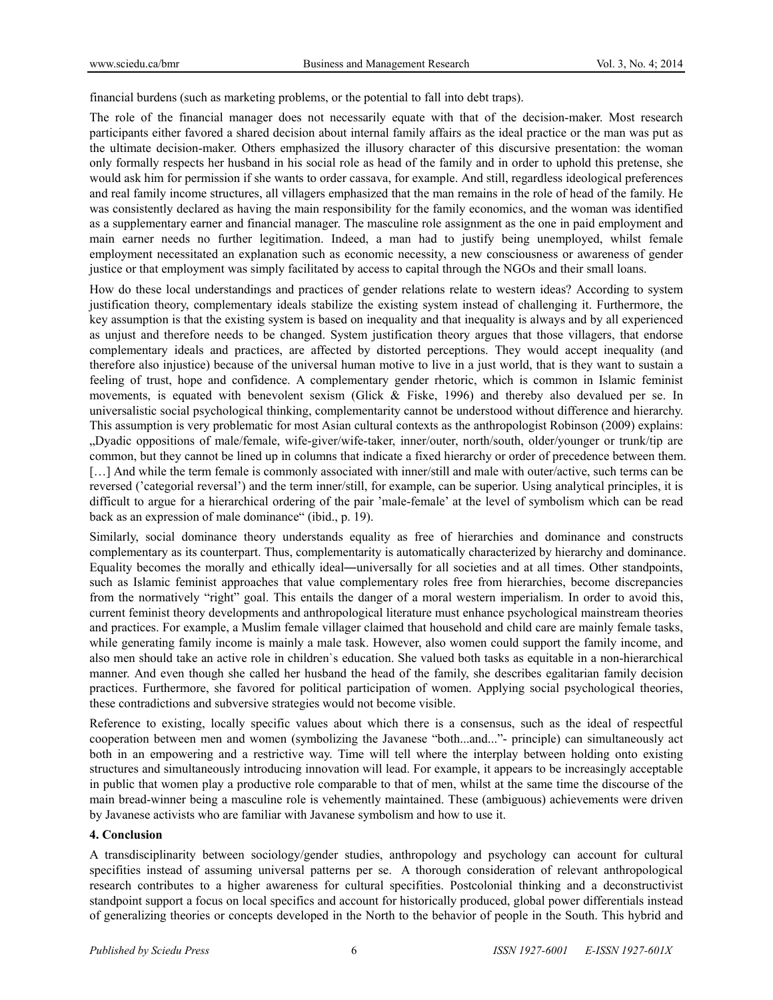financial burdens (such as marketing problems, or the potential to fall into debt traps).

The role of the financial manager does not necessarily equate with that of the decision-maker. Most research participants either favored a shared decision about internal family affairs as the ideal practice or the man was put as the ultimate decision-maker. Others emphasized the illusory character of this discursive presentation: the woman only formally respects her husband in his social role as head of the family and in order to uphold this pretense, she would ask him for permission if she wants to order cassava, for example. And still, regardless ideological preferences and real family income structures, all villagers emphasized that the man remains in the role of head of the family. He was consistently declared as having the main responsibility for the family economics, and the woman was identified as a supplementary earner and financial manager. The masculine role assignment as the one in paid employment and main earner needs no further legitimation. Indeed, a man had to justify being unemployed, whilst female employment necessitated an explanation such as economic necessity, a new consciousness or awareness of gender justice or that employment was simply facilitated by access to capital through the NGOs and their small loans.

How do these local understandings and practices of gender relations relate to western ideas? According to system justification theory, complementary ideals stabilize the existing system instead of challenging it. Furthermore, the key assumption is that the existing system is based on inequality and that inequality is always and by all experienced as unjust and therefore needs to be changed. System justification theory argues that those villagers, that endorse complementary ideals and practices, are affected by distorted perceptions. They would accept inequality (and therefore also injustice) because of the universal human motive to live in a just world, that is they want to sustain a feeling of trust, hope and confidence. A complementary gender rhetoric, which is common in Islamic feminist movements, is equated with benevolent sexism (Glick & Fiske, 1996) and thereby also devalued per se. In universalistic social psychological thinking, complementarity cannot be understood without difference and hierarchy. This assumption is very problematic for most Asian cultural contexts as the anthropologist Robinson (2009) explains: "Dyadic oppositions of male/female, wife-giver/wife-taker, inner/outer, north/south, older/younger or trunk/tip are common, but they cannot be lined up in columns that indicate a fixed hierarchy or order of precedence between them. [...] And while the term female is commonly associated with inner/still and male with outer/active, such terms can be reversed ('categorial reversal') and the term inner/still, for example, can be superior. Using analytical principles, it is difficult to argue for a hierarchical ordering of the pair 'male-female' at the level of symbolism which can be read back as an expression of male dominance" (ibid., p. 19).

Similarly, social dominance theory understands equality as free of hierarchies and dominance and constructs complementary as its counterpart. Thus, complementarity is automatically characterized by hierarchy and dominance. Equality becomes the morally and ethically ideal―universally for all societies and at all times. Other standpoints, such as Islamic feminist approaches that value complementary roles free from hierarchies, become discrepancies from the normatively "right" goal. This entails the danger of a moral western imperialism. In order to avoid this, current feminist theory developments and anthropological literature must enhance psychological mainstream theories and practices. For example, a Muslim female villager claimed that household and child care are mainly female tasks, while generating family income is mainly a male task. However, also women could support the family income, and also men should take an active role in children`s education. She valued both tasks as equitable in a non-hierarchical manner. And even though she called her husband the head of the family, she describes egalitarian family decision practices. Furthermore, she favored for political participation of women. Applying social psychological theories, these contradictions and subversive strategies would not become visible.

Reference to existing, locally specific values about which there is a consensus, such as the ideal of respectful cooperation between men and women (symbolizing the Javanese "both...and..."- principle) can simultaneously act both in an empowering and a restrictive way. Time will tell where the interplay between holding onto existing structures and simultaneously introducing innovation will lead. For example, it appears to be increasingly acceptable in public that women play a productive role comparable to that of men, whilst at the same time the discourse of the main bread-winner being a masculine role is vehemently maintained. These (ambiguous) achievements were driven by Javanese activists who are familiar with Javanese symbolism and how to use it.

# **4. Conclusion**

A transdisciplinarity between sociology/gender studies, anthropology and psychology can account for cultural specifities instead of assuming universal patterns per se. A thorough consideration of relevant anthropological research contributes to a higher awareness for cultural specifities. Postcolonial thinking and a deconstructivist standpoint support a focus on local specifics and account for historically produced, global power differentials instead of generalizing theories or concepts developed in the North to the behavior of people in the South. This hybrid and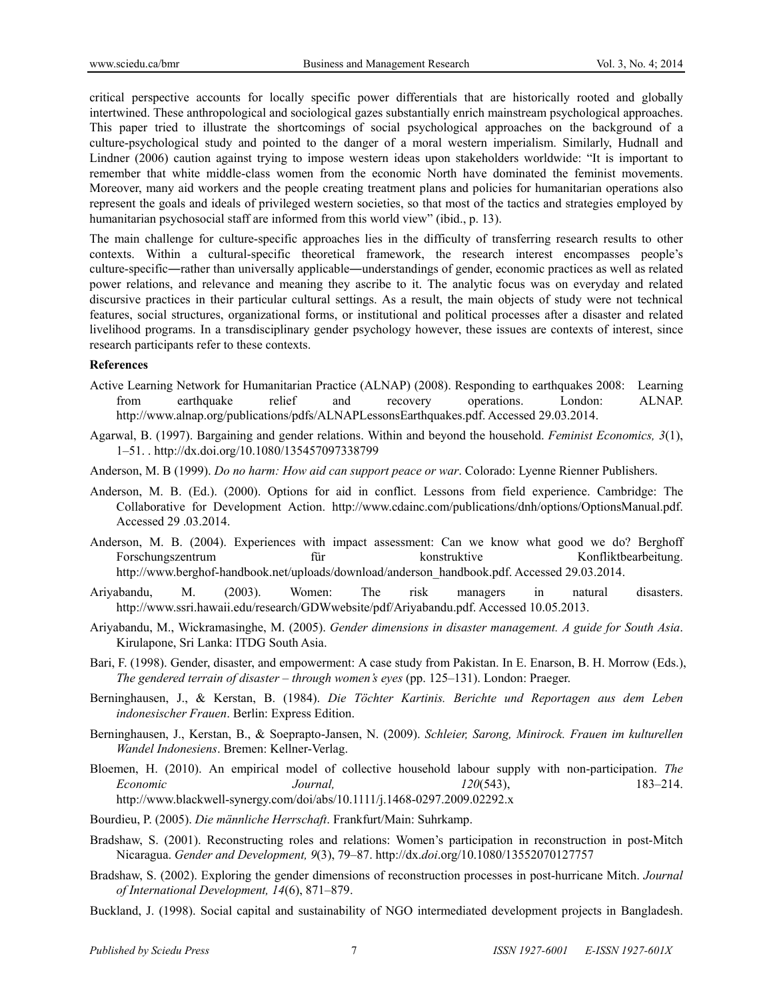critical perspective accounts for locally specific power differentials that are historically rooted and globally intertwined. These anthropological and sociological gazes substantially enrich mainstream psychological approaches. This paper tried to illustrate the shortcomings of social psychological approaches on the background of a culture-psychological study and pointed to the danger of a moral western imperialism. Similarly, Hudnall and Lindner (2006) caution against trying to impose western ideas upon stakeholders worldwide: "It is important to remember that white middle-class women from the economic North have dominated the feminist movements. Moreover, many aid workers and the people creating treatment plans and policies for humanitarian operations also represent the goals and ideals of privileged western societies, so that most of the tactics and strategies employed by humanitarian psychosocial staff are informed from this world view" (ibid., p. 13).

The main challenge for culture-specific approaches lies in the difficulty of transferring research results to other contexts. Within a cultural-specific theoretical framework, the research interest encompasses people's culture-specific―rather than universally applicable―understandings of gender, economic practices as well as related power relations, and relevance and meaning they ascribe to it. The analytic focus was on everyday and related discursive practices in their particular cultural settings. As a result, the main objects of study were not technical features, social structures, organizational forms, or institutional and political processes after a disaster and related livelihood programs. In a transdisciplinary gender psychology however, these issues are contexts of interest, since research participants refer to these contexts.

#### **References**

- Active Learning Network for Humanitarian Practice (ALNAP) (2008). Responding to earthquakes 2008: Learning from earthquake relief and recovery operations. London: ALNAP. http://www.alnap.org/publications/pdfs/ALNAPLessonsEarthquakes.pdf. Accessed 29.03.2014.
- Agarwal, B. (1997). Bargaining and gender relations. Within and beyond the household. *Feminist Economics, 3*(1), 1–51. . http://dx.doi.org/10.1080/135457097338799
- Anderson, M. B (1999). *Do no harm: How aid can support peace or war*. Colorado: Lyenne Rienner Publishers.
- Anderson, M. B. (Ed.). (2000). Options for aid in conflict. Lessons from field experience. Cambridge: The Collaborative for Development Action. http://www.cdainc.com/publications/dnh/options/OptionsManual.pdf. Accessed 29 .03.2014.
- Anderson, M. B. (2004). Experiences with impact assessment: Can we know what good we do? Berghoff Forschungszentrum für konstruktive Konfliktbearbeitung. http://www.berghof-handbook.net/uploads/download/anderson\_handbook.pdf. Accessed 29.03.2014.
- Ariyabandu, M. (2003). Women: The risk managers in natural disasters. http://www.ssri.hawaii.edu/research/GDWwebsite/pdf/Ariyabandu.pdf. Accessed 10.05.2013.
- Ariyabandu, M., Wickramasinghe, M. (2005). *Gender dimensions in disaster management. A guide for South Asia*. Kirulapone, Sri Lanka: ITDG South Asia.
- Bari, F. (1998). Gender, disaster, and empowerment: A case study from Pakistan. In E. Enarson, B. H. Morrow (Eds.), *The gendered terrain of disaster – through women's eyes* (pp. 125–131). London: Praeger.
- Berninghausen, J., & Kerstan, B. (1984). *Die Töchter Kartinis. Berichte und Reportagen aus dem Leben indonesischer Frauen*. Berlin: Express Edition.
- Berninghausen, J., Kerstan, B., & Soeprapto-Jansen, N. (2009). *Schleier, Sarong, Minirock. Frauen im kulturellen Wandel Indonesiens*. Bremen: Kellner-Verlag.
- Bloemen, H. (2010). An empirical model of collective household labour supply with non-participation. *The Economic Journal, 120*(543), 183–214. http://www.blackwell-synergy.com/doi/abs/10.1111/j.1468-0297.2009.02292.x
- Bourdieu, P. (2005). *Die männliche Herrschaft*. Frankfurt/Main: Suhrkamp.
- Bradshaw, S. (2001). Reconstructing roles and relations: Women's participation in reconstruction in post-Mitch Nicaragua. *Gender and Development, 9*(3), 79–87. http://dx.*doi*.org/10.1080/13552070127757
- Bradshaw, S. (2002). Exploring the gender dimensions of reconstruction processes in post-hurricane Mitch. *Journal of International Development, 14*(6), 871–879.
- Buckland, J. (1998). Social capital and sustainability of NGO intermediated development projects in Bangladesh.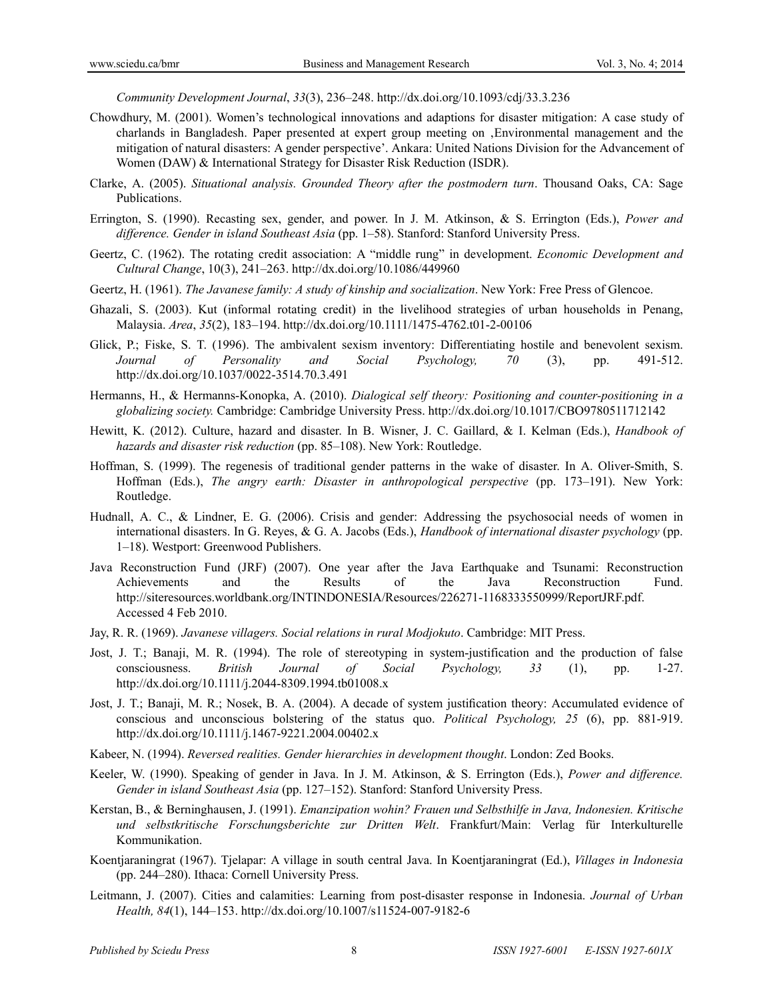*Community Development Journal*, *33*(3), 236–248. http://dx.doi.org/10.1093/cdj/33.3.236

- Chowdhury, M. (2001). Women's technological innovations and adaptions for disaster mitigation: A case study of charlands in Bangladesh. Paper presented at expert group meeting on 'Environmental management and the mitigation of natural disasters: A gender perspective'. Ankara: United Nations Division for the Advancement of Women (DAW) & International Strategy for Disaster Risk Reduction (ISDR).
- Clarke, A. (2005). *Situational analysis. Grounded Theory after the postmodern turn*. Thousand Oaks, CA: Sage Publications.
- Errington, S. (1990). Recasting sex, gender, and power. In J. M. Atkinson, & S. Errington (Eds.), *Power and difference. Gender in island Southeast Asia* (pp. 1–58). Stanford: Stanford University Press.
- Geertz, C. (1962). The rotating credit association: A "middle rung" in development. *Economic Development and Cultural Change*, 10(3), 241–263. http://dx.doi.org/10.1086/449960
- Geertz, H. (1961). *The Javanese family: A study of kinship and socialization*. New York: Free Press of Glencoe.
- Ghazali, S. (2003). Kut (informal rotating credit) in the livelihood strategies of urban households in Penang, Malaysia. *Area*, *35*(2), 183–194. http://dx.doi.org/10.1111/1475-4762.t01-2-00106
- Glick, P.; Fiske, S. T. (1996). The ambivalent sexism inventory: Differentiating hostile and benevolent sexism. *Journal of Personality and Social Psychology, 70* (3), pp. 491-512. http://dx.doi.org/10.1037/0022-3514.70.3.491
- Hermanns, H., & Hermanns-Konopka, A. (2010). *Dialogical self theory: Positioning and counter-positioning in a globalizing society.* Cambridge: Cambridge University Press. http://dx.doi.org/10.1017/CBO9780511712142
- Hewitt, K. (2012). Culture, hazard and disaster. In B. Wisner, J. C. Gaillard, & I. Kelman (Eds.), *Handbook of hazards and disaster risk reduction* (pp. 85–108). New York: Routledge.
- Hoffman, S. (1999). The regenesis of traditional gender patterns in the wake of disaster. In A. Oliver-Smith, S. Hoffman (Eds.), *The angry earth: Disaster in anthropological perspective* (pp. 173–191). New York: Routledge.
- Hudnall, A. C., & Lindner, E. G. (2006). Crisis and gender: Addressing the psychosocial needs of women in international disasters. In G. Reyes, & G. A. Jacobs (Eds.), *Handbook of international disaster psychology* (pp. 1–18). Westport: Greenwood Publishers.
- Java Reconstruction Fund (JRF) (2007). One year after the Java Earthquake and Tsunami: Reconstruction Achievements and the Results of the Java Reconstruction Fund. http://siteresources.worldbank.org/INTINDONESIA/Resources/226271-1168333550999/ReportJRF.pdf. Accessed 4 Feb 2010.
- Jay, R. R. (1969). *Javanese villagers. Social relations in rural Modjokuto*. Cambridge: MIT Press.
- Jost, J. T.; Banaji, M. R. (1994). The role of stereotyping in system-justification and the production of false consciousness. *British Journal of Social Psychology, 33* (1), pp. 1-27. http://dx.doi.org/10.1111/j.2044-8309.1994.tb01008.x
- Jost, J. T.; Banaji, M. R.; Nosek, B. A. (2004). A decade of system justification theory: Accumulated evidence of conscious and unconscious bolstering of the status quo. *Political Psychology, 25* (6), pp. 881-919. http://dx.doi.org/10.1111/j.1467-9221.2004.00402.x
- Kabeer, N. (1994). *Reversed realities. Gender hierarchies in development thought*. London: Zed Books.
- Keeler, W. (1990). Speaking of gender in Java. In J. M. Atkinson, & S. Errington (Eds.), *Power and difference. Gender in island Southeast Asia* (pp. 127–152). Stanford: Stanford University Press.
- Kerstan, B., & Berninghausen, J. (1991). *Emanzipation wohin? Frauen und Selbsthilfe in Java, Indonesien. Kritische und selbstkritische Forschungsberichte zur Dritten Welt*. Frankfurt/Main: Verlag für Interkulturelle Kommunikation.
- Koentjaraningrat (1967). Tjelapar: A village in south central Java. In Koentjaraningrat (Ed.), *Villages in Indonesia* (pp. 244–280). Ithaca: Cornell University Press.
- Leitmann, J. (2007). Cities and calamities: Learning from post-disaster response in Indonesia. *Journal of Urban Health, 84*(1), 144–153. http://dx.doi.org/10.1007/s11524-007-9182-6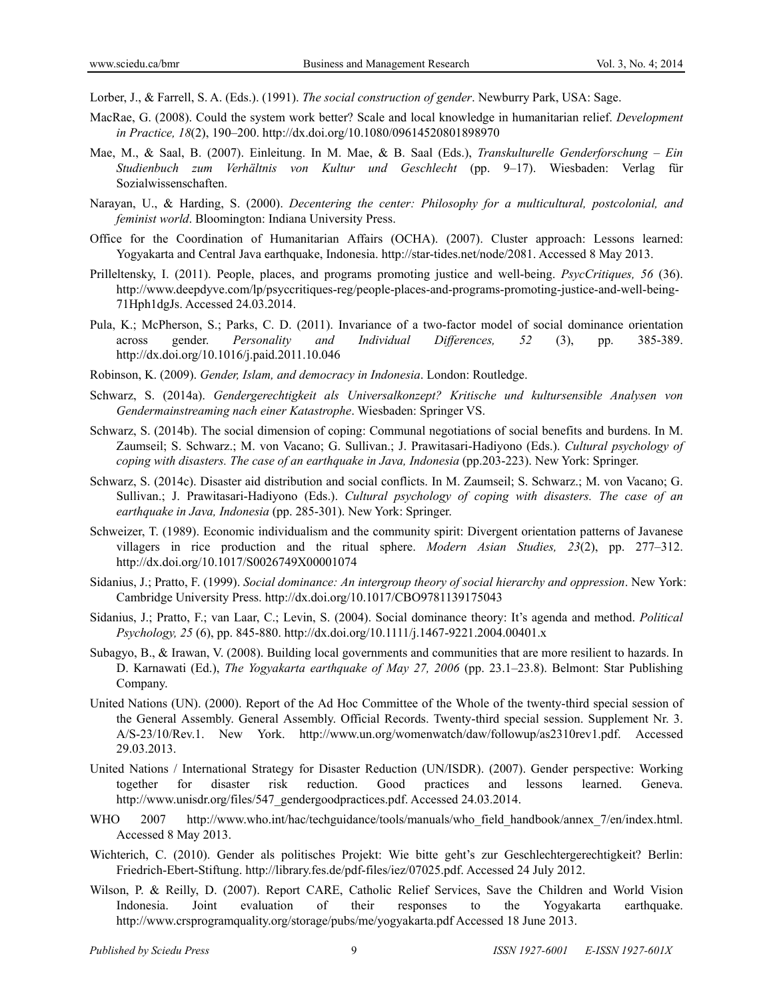Lorber, J., & Farrell, S. A. (Eds.). (1991). *The social construction of gender*. Newburry Park, USA: Sage.

- MacRae, G. (2008). Could the system work better? Scale and local knowledge in humanitarian relief. *Development in Practice, 18*(2), 190–200. http://dx.doi.org/10.1080/09614520801898970
- Mae, M., & Saal, B. (2007). Einleitung. In M. Mae, & B. Saal (Eds.), *Transkulturelle Genderforschung Ein Studienbuch zum Verhältnis von Kultur und Geschlecht* (pp. 9–17). Wiesbaden: Verlag für Sozialwissenschaften.
- Narayan, U., & Harding, S. (2000). *Decentering the center: Philosophy for a multicultural, postcolonial, and feminist world*. Bloomington: Indiana University Press.
- Office for the Coordination of Humanitarian Affairs (OCHA). (2007). Cluster approach: Lessons learned: Yogyakarta and Central Java earthquake, Indonesia. http://star-tides.net/node/2081. Accessed 8 May 2013.
- Prilleltensky, I. (2011). People, places, and programs promoting justice and well-being. *PsycCritiques, 56* (36). http://www.deepdyve.com/lp/psyccritiques-reg/people-places-and-programs-promoting-justice-and-well-being-71Hph1dgJs. Accessed 24.03.2014.
- Pula, K.; McPherson, S.; Parks, C. D. (2011). Invariance of a two-factor model of social dominance orientation across gender. *Personality and Individual Differences, 52* (3), pp. 385-389. http://dx.doi.org/10.1016/j.paid.2011.10.046
- Robinson, K. (2009). *Gender, Islam, and democracy in Indonesia*. London: Routledge.
- Schwarz, S. (2014a). *Gendergerechtigkeit als Universalkonzept? Kritische und kultursensible Analysen von Gendermainstreaming nach einer Katastrophe*. Wiesbaden: Springer VS.
- Schwarz, S. (2014b). The social dimension of coping: Communal negotiations of social benefits and burdens. In M. Zaumseil; S. Schwarz.; M. von Vacano; G. Sullivan.; J. Prawitasari-Hadiyono (Eds.). *Cultural psychology of coping with disasters. The case of an earthquake in Java, Indonesia* (pp.203-223). New York: Springer.
- Schwarz, S. (2014c). Disaster aid distribution and social conflicts. In M. Zaumseil; S. Schwarz.; M. von Vacano; G. Sullivan.; J. Prawitasari-Hadiyono (Eds.). *Cultural psychology of coping with disasters. The case of an earthquake in Java, Indonesia* (pp. 285-301). New York: Springer.
- Schweizer, T. (1989). Economic individualism and the community spirit: Divergent orientation patterns of Javanese villagers in rice production and the ritual sphere. *Modern Asian Studies, 23*(2), pp. 277–312. http://dx.doi.org/10.1017/S0026749X00001074
- Sidanius, J.; Pratto, F. (1999). *Social dominance: An intergroup theory of social hierarchy and oppression*. New York: Cambridge University Press. http://dx.doi.org/10.1017/CBO9781139175043
- Sidanius, J.; Pratto, F.; van Laar, C.; Levin, S. (2004). Social dominance theory: It's agenda and method. *Political Psychology, 25* (6), pp. 845-880. http://dx.doi.org/10.1111/j.1467-9221.2004.00401.x
- Subagyo, B., & Irawan, V. (2008). Building local governments and communities that are more resilient to hazards. In D. Karnawati (Ed.), *The Yogyakarta earthquake of May 27, 2006* (pp. 23.1–23.8). Belmont: Star Publishing Company.
- United Nations (UN). (2000). Report of the Ad Hoc Committee of the Whole of the twenty-third special session of the General Assembly. General Assembly. Official Records. Twenty-third special session. Supplement Nr. 3. A/S-23/10/Rev.1. New York. http://www.un.org/womenwatch/daw/followup/as2310rev1.pdf. Accessed 29.03.2013.
- United Nations / International Strategy for Disaster Reduction (UN/ISDR). (2007). Gender perspective: Working together for disaster risk reduction. Good practices and lessons learned. Geneva. http://www.unisdr.org/files/547\_gendergoodpractices.pdf. Accessed 24.03.2014.
- WHO 2007 http://www.who.int/hac/techguidance/tools/manuals/who field handbook/annex 7/en/index.html. Accessed 8 May 2013.
- Wichterich, C. (2010). Gender als politisches Projekt: Wie bitte geht's zur Geschlechtergerechtigkeit? Berlin: Friedrich-Ebert-Stiftung. http://library.fes.de/pdf-files/iez/07025.pdf. Accessed 24 July 2012.
- Wilson, P. & Reilly, D. (2007). Report CARE, Catholic Relief Services, Save the Children and World Vision Indonesia. Joint evaluation of their responses to the Yogyakarta earthquake. http://www.crsprogramquality.org/storage/pubs/me/yogyakarta.pdf Accessed 18 June 2013.